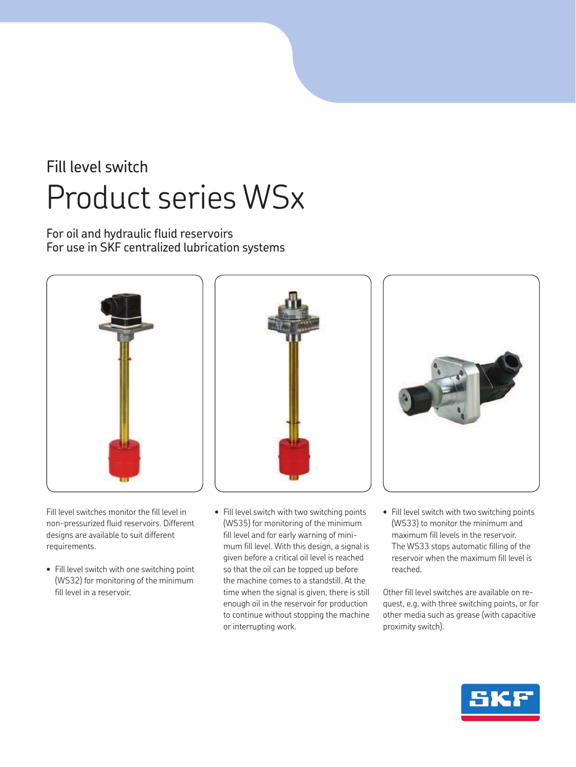# Fill level switch Product series WSx

For oil and hydraulic fluid reservoirs For use in SKF centralized lubrication systems



Fill level switches monitor the fill level in non-pressurized fluid reservoirs. Different designs are available to suit different requirements.

• Fill level switch with one switching point (WS32) for monitoring of the minimum fill level in a reservoir.



• Fill level switch with two switching points (WS35) for monitoring of the minimum fill level and for early warning of minimum fill level. With this design, a signal is given before a critical oil level is reached so that the oil can be topped up before the machine comes to a standstill. At the time when the signal is given, there is still enough oil in the reservoir for production to continue without stopping the machine or interrupting work.



• Fill level switch with two switching points (WS33) to monitor the minimum and maximum fill levels in the reservoir. The WS33 stops automatic filling of the reservoir when the maximum fill level is reached.

Other fill level switches are available on request, e.g. with three switching points, or for other media such as grease (with capacitive proximity switch).

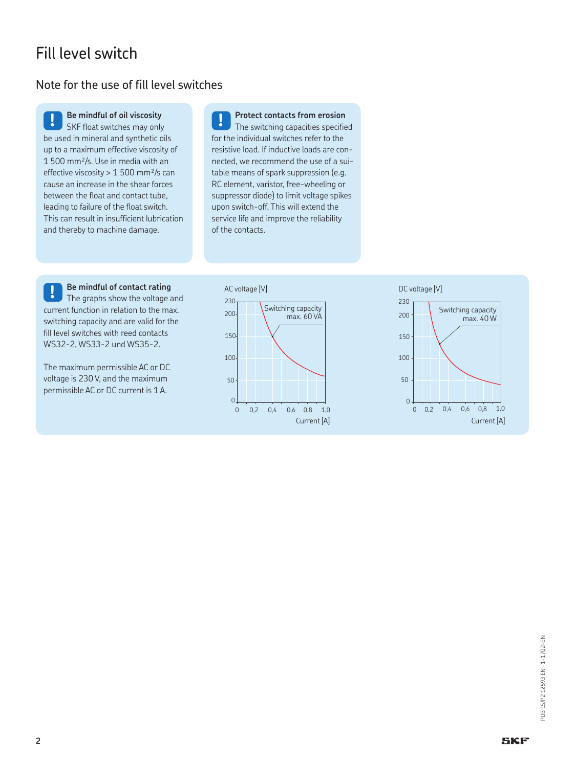# Fill level switch

## Note for the use of fill level switches

**! Be mindful of oil viscosity** SKF float switches may only be used in mineral and synthetic oils up to a maximum effective viscosity of 1 500 mm²/s. Use in media with an effective viscosity > 1 500 mm²/s can cause an increase in the shear forces between the float and contact tube, leading to failure of the float switch. This can result in insufficient lubrication and thereby to machine damage.

**! Protect contacts from erosion** The switching capacities specified for the individual switches refer to the resistive load. If inductive loads are connected, we recommend the use of a suitable means of spark suppression (e.g. RC element, varistor, free-wheeling or suppressor diode) to limit voltage spikes upon switch-off. This will extend the service life and improve the reliability of the contacts.

**! Be mindful of contact rating** The graphs show the voltage and current function in relation to the max. switching capacity and are valid for the fill level switches with reed contacts WS32-2, WS33-2 und WS35-2.

The maximum permissible AC or DC voltage is 230 V, and the maximum permissible AC or DC current is 1 A.



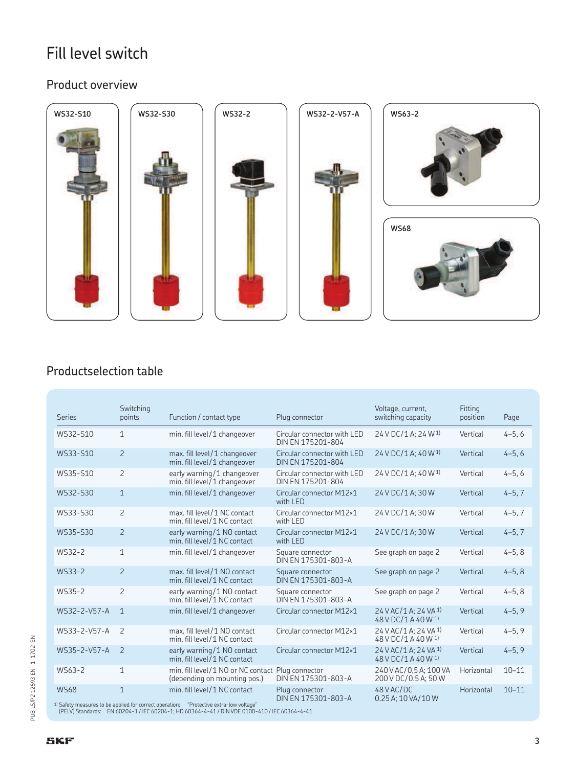# Fill level switch

## Product overview



## Productselection table

| <b>Series</b>          | Switching<br>points | Function / contact type                                                                                                                         | Plug connector                                   | Voltage, current,<br>switching capacity                 | Fitting<br>position | Page       |
|------------------------|---------------------|-------------------------------------------------------------------------------------------------------------------------------------------------|--------------------------------------------------|---------------------------------------------------------|---------------------|------------|
| WS32-S10               | $\mathbf{1}$        | min. fill level/1 changeover                                                                                                                    | Circular connector with LED<br>DIN EN 175201-804 | 24 V DC/1 A: 24 W 1)                                    | Vertical            | $4 - 5, 6$ |
| WS33-S10               | 2                   | max. fill level/1 changeover<br>min. fill level/1 changeover                                                                                    | Circular connector with LED<br>DIN EN 175201-804 | 24 V DC/1 A: 40 W <sup>1</sup>                          | Vertical            | $4 - 5, 6$ |
| WS35-S10               | $\overline{c}$      | early warning/1 changeover<br>min. fill level/1 changeover                                                                                      | Circular connector with LED<br>DIN EN 175201-804 | 24 V DC/1 A; 40 W <sup>1)</sup>                         | Vertical            | $4 - 5, 6$ |
| WS32-S30               | $\mathbf{1}$        | min. fill level/1 changeover                                                                                                                    | Circular connector M12×1<br>with LED             | 24 V DC/1 A; 30 W                                       | Vertical            | $4 - 5, 7$ |
| WS33-S30               | $\overline{2}$      | max. fill level/1 NC contact<br>min. fill level/1 NC contact                                                                                    | Circular connector M12×1<br>with LED             | 24 V DC/1 A: 30 W                                       | Vertical            | $4-5, 7$   |
| WS35-S30               | $\overline{2}$      | early warning/1 NO contact<br>min. fill level/1 NC contact                                                                                      | Circular connector M12×1<br>with LED             | 24 V DC/1 A: 30 W                                       | Vertical            | $4 - 5, 7$ |
| WS32-2                 | $\mathbf{1}$        | min. fill level/1 changeover                                                                                                                    | Square connector<br>DIN EN 175301-803-A          | See graph on page 2                                     | Vertical            | $4 - 5, 8$ |
| WS33-2                 | $\overline{2}$      | max. fill level/1 NO contact<br>min. fill level/1 NC contact                                                                                    | Square connector<br>DIN EN 175301-803-A          | See graph on page 2                                     | Vertical            | $4 - 5, 8$ |
| WS35-2                 | $\overline{c}$      | early warning/1 NO contact<br>min. fill level/1 NC contact                                                                                      | Square connector<br>DIN EN 175301-803-A          | See graph on page 2                                     | Vertical            | $4 - 5, 8$ |
| WS32-2-V57-A           | $\mathbf{1}$        | min. fill level/1 changeover                                                                                                                    | Circular connector M12×1                         | 24 V AC/1 A; 24 VA 1)<br>48 V DC/1 A 40 W <sup>1)</sup> | Vertical            | $4 - 5, 9$ |
| WS33-2-V57-A           | 2                   | max. fill level/1 NO contact<br>min. fill level/1 NC contact                                                                                    | Circular connector M12×1                         | 24 V AC/1 A: 24 VA <sup>1)</sup><br>48 V DC/1 A 40 W 1) | Vertical            | $4 - 5, 9$ |
| WS35-2-V57-A           | 2                   | early warning/1 NO contact<br>min. fill level/1 NC contact                                                                                      | Circular connector M12×1                         | 24 V AC/1 A: 24 VA 1)<br>48 V DC/1 A 40 W 1)            | Vertical            | $4 - 5, 9$ |
| WS63-2                 | $\mathbf{1}$        | min. fill level/1 NO or NC contact Plug connector<br>(depending on mounting pos.)                                                               | DIN EN 175301-803-A                              | 240 V AC/0.5 A: 100 VA<br>200 V DC/0.5 A; 50 W          | Horizontal          | $10 - 11$  |
| <b>WS68</b><br>$10c+1$ | $\mathbf{1}$        | min. fill level/1 NC contact<br>the contract of the contract of the contract of the contract of the contract of the contract of the contract of | Plug connector<br>DIN EN 175301-803-A            | 48 V AC/DC<br>0.25 A; 10 VA/10 W                        | Horizontal          | $10 - 11$  |

1) Safety measures to be applied for correct operation: "Protective extra-low voltage" (PELV) Standards: EN 60204-1 / IEC 60204-1; HD 60364-4-41 / DIN VDE 0100-410 / IEC 60364-4-41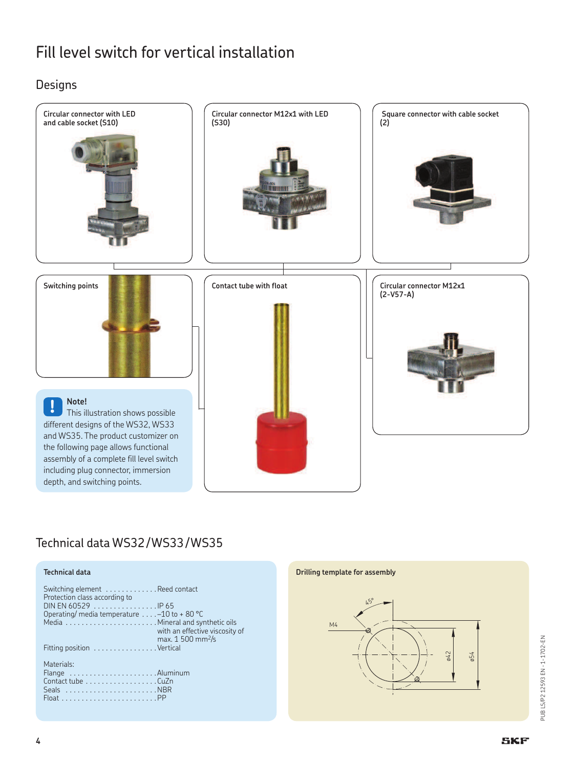Designs



## Technical data WS32 / WS33 / WS35

### **Technical data**

| Switching element Reed contact<br>Protection class according to |                                |
|-----------------------------------------------------------------|--------------------------------|
| DIN EN 60529 $\ldots$ , $\ldots$ , $\ldots$ , $\ldots$          |                                |
| Operating/ media temperature $\dots$ -10 to +80 °C              |                                |
|                                                                 |                                |
|                                                                 | with an effective viscosity of |
|                                                                 | max. 1 500 mm <sup>2</sup> /s  |
| Fitting position Vertical                                       |                                |
|                                                                 |                                |
| Materials:                                                      |                                |
| Flange Aluminum                                                 |                                |
| Contact tube CuZn                                               |                                |
|                                                                 |                                |
| $Float$ PP                                                      |                                |
|                                                                 |                                |

#### **Drilling template for assembly**



PUB LS/P2 12593 EN - 1-1702-EN PUB LS/P2 12593 EN · 1-1702-EN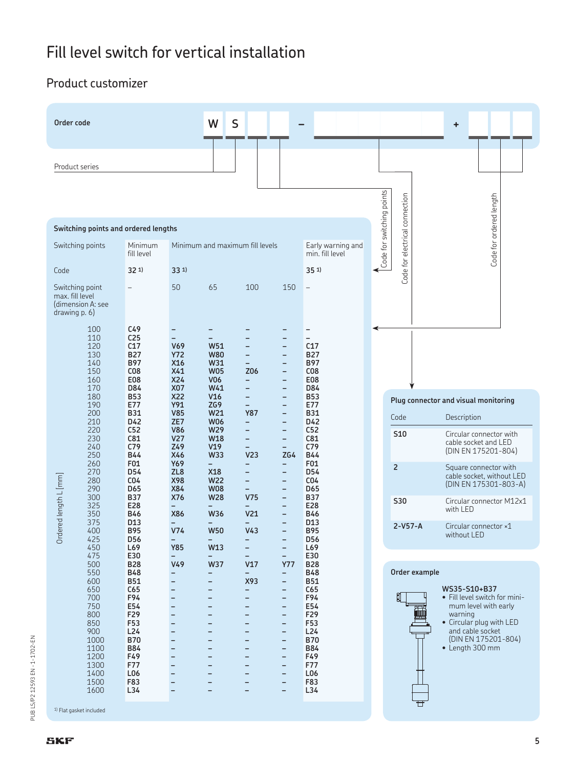## Product customizer



PUB LS/P2 12593 EN - 1-1702-EN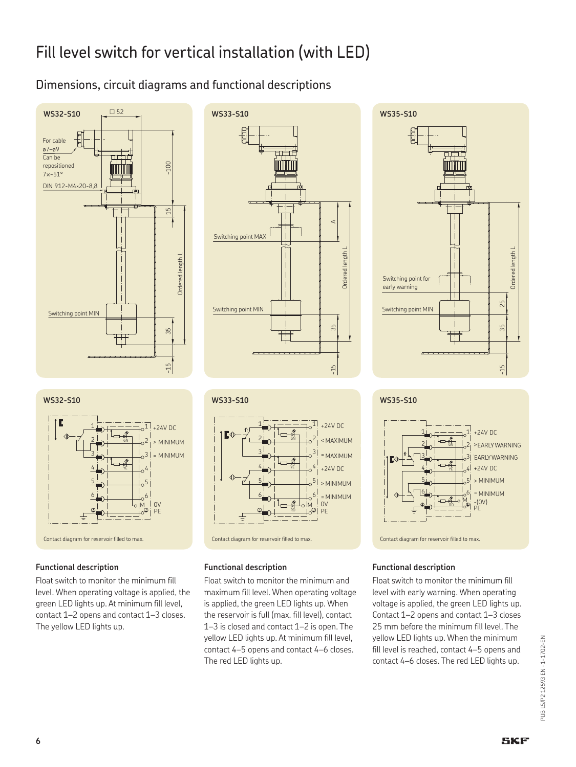# Fill level switch for vertical installation (with LED)

## Dimensions, circuit diagrams and functional descriptions





### **Functional description**

Float switch to monitor the minimum fill level. When operating voltage is applied, the green LED lights up. At minimum fill level, contact 1–2 opens and contact 1–3 closes. The yellow LED lights up.







### **Functional description**

Float switch to monitor the minimum and maximum fill level. When operating voltage is applied, the green LED lights up. When the reservoir is full (max. fill level), contact 1–3 is closed and contact 1–2 is open. The yellow LED lights up. At minimum fill level, contact 4–5 opens and contact 4–6 closes. The red LED lights up.





### **Functional description**

Float switch to monitor the minimum fill level with early warning. When operating voltage is applied, the green LED lights up. Contact 1–2 opens and contact 1–3 closes 25 mm before the minimum fill level. The yellow LED lights up. When the minimum fill level is reached, contact 4–5 opens and contact 4–6 closes. The red LED lights up.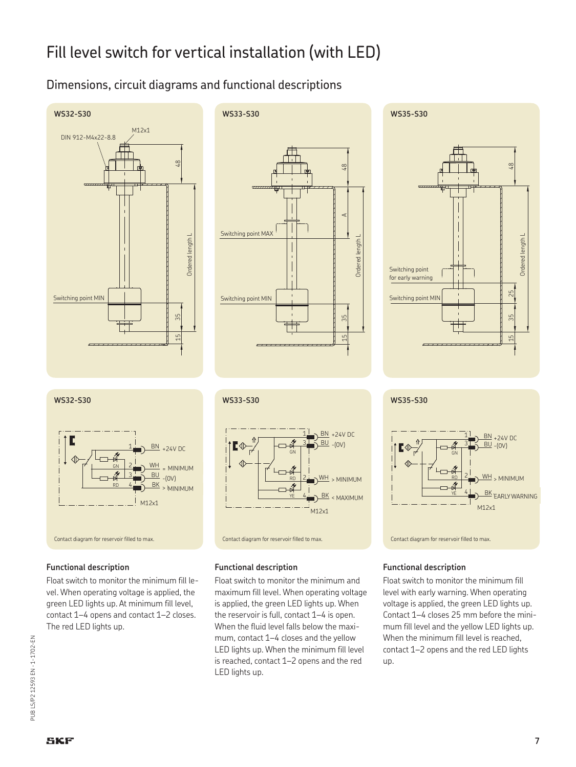# Fill level switch for vertical installation (with LED)

## Dimensions, circuit diagrams and functional descriptions







#### **WS32-S30 WS33-S30 WS35-S30**



#### **Functional description**

Float switch to monitor the minimum fill level. When operating voltage is applied, the green LED lights up. At minimum fill level, contact 1–4 opens and contact 1–2 closes. The red LED lights up.



#### **Functional description**

Float switch to monitor the minimum and maximum fill level. When operating voltage is applied, the green LED lights up. When the reservoir is full, contact 1–4 is open. When the fluid level falls below the maximum, contact 1–4 closes and the yellow LED lights up. When the minimum fill level is reached, contact 1–2 opens and the red LED lights up.



#### **Functional description**

Float switch to monitor the minimum fill level with early warning. When operating voltage is applied, the green LED lights up. Contact 1–4 closes 25 mm before the minimum fill level and the yellow LED lights up. When the minimum fill level is reached, contact 1–2 opens and the red LED lights up.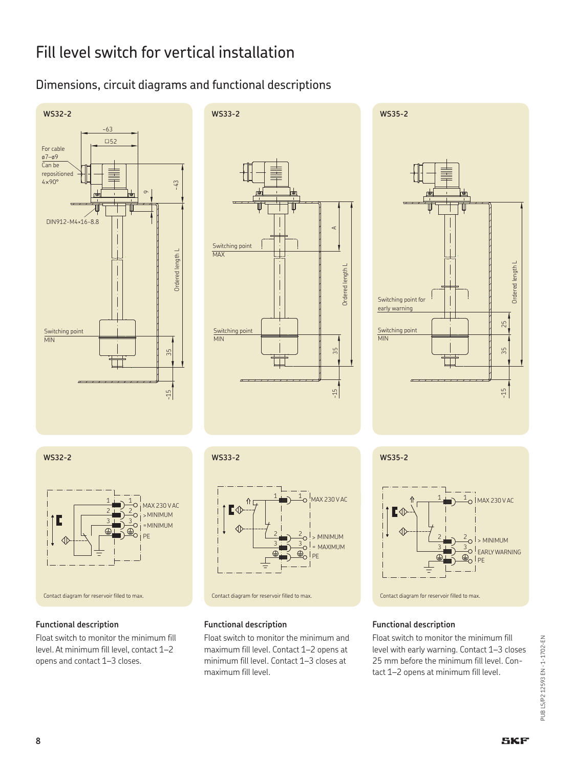## Dimensions, circuit diagrams and functional descriptions







### **Functional description**

Float switch to monitor the minimum fill level. At minimum fill level, contact 1–2 opens and contact 1–3 closes.



### **Functional description**

Float switch to monitor the minimum and maximum fill level. Contact 1–2 opens at minimum fill level. Contact 1–3 closes at maximum fill level.





### **Functional description**

Float switch to monitor the minimum fill level with early warning. Contact 1–3 closes 25 mm before the minimum fill level. Contact 1–2 opens at minimum fill level.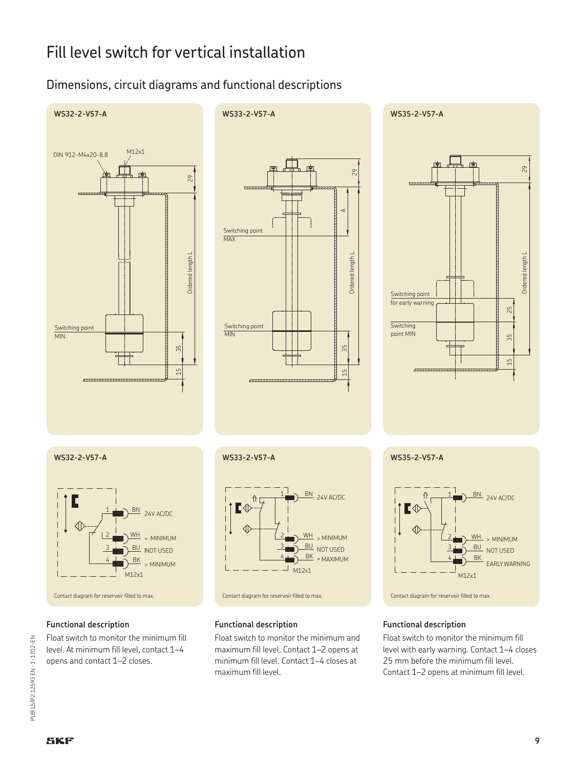## Dimensions, circuit diagrams and functional descriptions





**WS35-2-V57-A**





#### **Functional description**

Float switch to monitor the minimum fill level. At minimum fill level, contact 1–4 opens and contact 1–2 closes.



#### **Functional description**

Float switch to monitor the minimum and maximum fill level. Contact 1–2 opens at minimum fill level. Contact 1–4 closes at maximum fill level.



#### **Functional description**

Float switch to monitor the minimum fill level with early warning. Contact 1–4 closes 25 mm before the minimum fill level. Contact 1–2 opens at minimum fill level.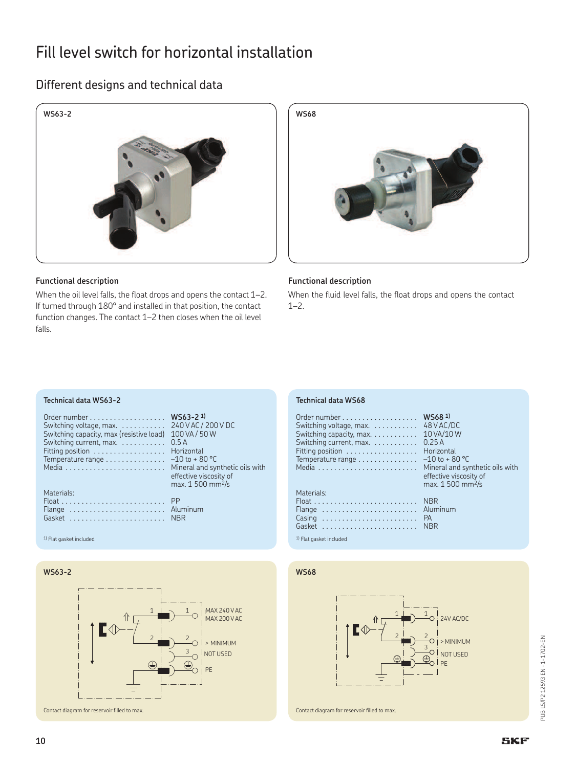# Fill level switch for horizontal installation

## Different designs and technical data



#### **Functional description**

When the oil level falls, the float drops and opens the contact 1-2. If turned through 180° and installed in that position, the contact function changes. The contact 1–2 then closes when the oil level falls.



#### **Functional description**

When the fluid level falls, the float drops and opens the contact 1–2.

#### **Technical data WS63-2**

| Switching voltage, max.<br>Switching capacity, max (resistive load)<br>Switching current, max.<br>Fitting position<br>Temperature range<br>Materials: | $WS63-21$<br>240 V AC / 2<br>100 VA / 50<br>0.5A<br>Horizontal<br>$-10$ to $+80$<br>Mineral and<br>effective vis<br>max. 1 500 |
|-------------------------------------------------------------------------------------------------------------------------------------------------------|--------------------------------------------------------------------------------------------------------------------------------|
|                                                                                                                                                       | РP                                                                                                                             |
| Flange $\ldots \ldots \ldots \ldots \ldots \ldots \ldots$                                                                                             | Aluminum                                                                                                                       |
| Gasket                                                                                                                                                | <b>NBR</b>                                                                                                                     |

1) Flat gasket included 1) Flat gasket included

Switching voltage, max. . . . . . . . . . . . 240 V AC / 200 V DC .40 VAC/ 200<br>.00 VA / 50 W<br>).5 A ... . .<br>Iorizontal  $-10 \text{ to } +80 \text{ °C}$ Media ......................... Mineral and synthetic oils with effective viscosity of  $max. 1500$  mm<sup>2</sup>/s

.<br>|luminum<br>|BR

#### **WS63-2**



#### **Technical data WS68**

| Switching voltage, $max.$<br>Switching capacity, max.<br>Switching current, max.<br>Fitting position<br>Temperature range | WS68 <sup>1)</sup><br>48 V AC/DC<br>10 VA/10 W<br>0.25A<br>Horizontal<br>$-10$ to + 80 °C<br>Mineral and synthetic oils with<br>effective viscosity of<br>max. 1 500 mm <sup>2</sup> /s |
|---------------------------------------------------------------------------------------------------------------------------|-----------------------------------------------------------------------------------------------------------------------------------------------------------------------------------------|
| Materials:                                                                                                                |                                                                                                                                                                                         |
|                                                                                                                           | <b>NBR</b>                                                                                                                                                                              |
| Flange  Aluminum                                                                                                          |                                                                                                                                                                                         |
| Casing  PA                                                                                                                |                                                                                                                                                                                         |
|                                                                                                                           | <b>NBR</b>                                                                                                                                                                              |

#### **WS68**

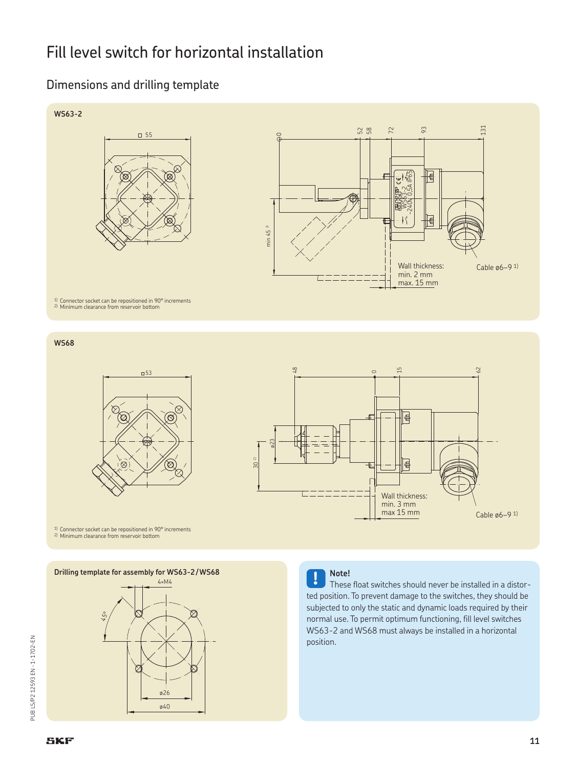# Fill level switch for horizontal installation

## Dimensions and drilling template



**WS68**





<sup>1)</sup> Connector socket can be repositioned in 90° increments 2) Minimum clearance from reservoir bottom

**Drilling template for assembly for WS63-2/WS68** 





These float switches should never be installed in a distorted position. To prevent damage to the switches, they should be subjected to only the static and dynamic loads required by their normal use. To permit optimum functioning, fill level switches WS63-2 and WS68 must always be installed in a horizontal position.

PUB LS/P2 12593 EN - 1-1702-EN PUB LS/P2 12593 EN · 1-1702-EN